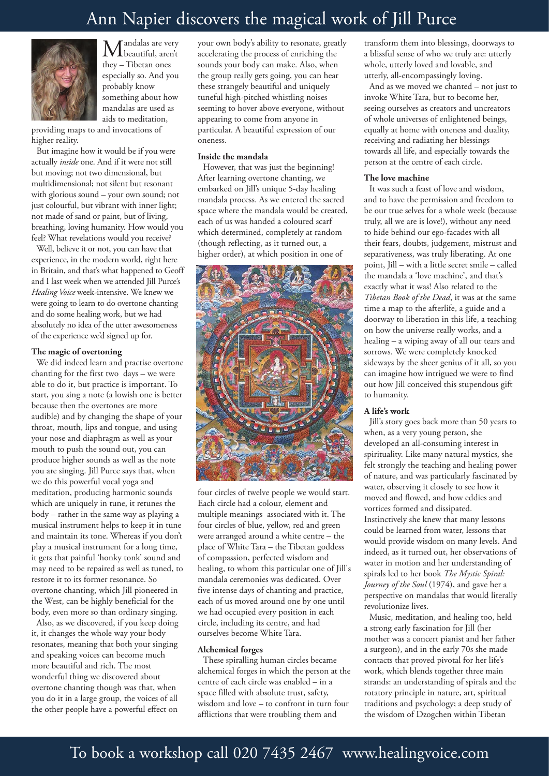# Ann Napier discovers the magical work of Jill Purce



Mandalas are very<br>beautiful, aren't they – Tibetan ones especially so. And you probably know something about how mandalas are used as aids to meditation,

providing maps to and invocations of higher reality.

But imagine how it would be if you were actually *inside* one. And if it were not still but moving; not two dimensional, but multidimensional; not silent but resonant with glorious sound – your own sound; not just colourful, but vibrant with inner light; not made of sand or paint, but of living, breathing, loving humanity. How would you feel? What revelations would you receive?

Well, believe it or not, you can have that experience, in the modern world, right here in Britain, and that's what happened to Geoff and I last week when we attended Jill Purce's *Healing Voice* week-intensive. We knew we were going to learn to do overtone chanting and do some healing work, but we had absolutely no idea of the utter awesomeness of the experience we'd signed up for.

### **The magic of overtoning**

We did indeed learn and practise overtone chanting for the first two days – we were able to do it, but practice is important. To start, you sing a note (a lowish one is better because then the overtones are more audible) and by changing the shape of your throat, mouth, lips and tongue, and using your nose and diaphragm as well as your mouth to push the sound out, you can produce higher sounds as well as the note you are singing. Jill Purce says that, when we do this powerful vocal yoga and meditation, producing harmonic sounds which are uniquely in tune, it retunes the body – rather in the same way as playing a musical instrument helps to keep it in tune and maintain its tone. Whereas if you don't play a musical instrument for a long time, it gets that painful 'honky tonk' sound and may need to be repaired as well as tuned, to restore it to its former resonance. So overtone chanting, which Jill pioneered in the West, can be highly beneficial for the body, even more so than ordinary singing.

Also, as we discovered, if you keep doing it, it changes the whole way your body resonates, meaning that both your singing and speaking voices can become much more beautiful and rich. The most wonderful thing we discovered about overtone chanting though was that, when you do it in a large group, the voices of all the other people have a powerful effect on

your own body's ability to resonate, greatly accelerating the process of enriching the sounds your body can make. Also, when the group really gets going, you can hear these strangely beautiful and uniquely tuneful high-pitched whistling noises seeming to hover above everyone, without appearing to come from anyone in particular. A beautiful expression of our oneness.

## **Inside the mandala**

However, that was just the beginning! After learning overtone chanting, we embarked on Jill's unique 5-day healing mandala process. As we entered the sacred space where the mandala would be created, each of us was handed a coloured scarf which determined, completely at random (though reflecting, as it turned out, a higher order), at which position in one of



four circles of twelve people we would start. Each circle had a colour, element and multiple meanings associated with it. The four circles of blue, yellow, red and green were arranged around a white centre – the place of White Tara – the Tibetan goddess of compassion, perfected wisdom and healing, to whom this particular one of Jill's mandala ceremonies was dedicated. Over five intense days of chanting and practice, each of us moved around one by one until we had occupied every position in each circle, including its centre, and had ourselves become White Tara.

# **Alchemical forges**

These spiralling human circles became alchemical forges in which the person at the centre of each circle was enabled – in a space filled with absolute trust, safety, wisdom and love – to confront in turn four afflictions that were troubling them and

transform them into blessings, doorways to a blissful sense of who we truly are: utterly whole, utterly loved and lovable, and utterly, all-encompassingly loving.

And as we moved we chanted – not just to invoke White Tara, but to become her, seeing ourselves as creators and uncreators of whole universes of enlightened beings, equally at home with oneness and duality, receiving and radiating her blessings towards all life, and especially towards the person at the centre of each circle.

#### **The love machine**

It was such a feast of love and wisdom, and to have the permission and freedom to be our true selves for a whole week (because truly, all we are is love!), without any need to hide behind our ego-facades with all their fears, doubts, judgement, mistrust and separativeness, was truly liberating. At one point, Jill – with a little secret smile – called the mandala a 'love machine', and that's exactly what it was! Also related to the *Tibetan Book of the Dead*, it was at the same time a map to the afterlife, a guide and a doorway to liberation in this life, a teaching on how the universe really works, and a healing – a wiping away of all our tears and sorrows. We were completely knocked sideways by the sheer genius of it all, so you can imagine how intrigued we were to find out how Jill conceived this stupendous gift to humanity.

## **A life's work**

Jill's story goes back more than 50 years to when, as a very young person, she developed an all-consuming interest in spirituality. Like many natural mystics, she felt strongly the teaching and healing power of nature, and was particularly fascinated by water, observing it closely to see how it moved and flowed, and how eddies and vortices formed and dissipated. Instinctively she knew that many lessons could be learned from water, lessons that would provide wisdom on many levels. And indeed, as it turned out, her observations of water in motion and her understanding of spirals led to her book *The Mystic Spiral: Journey of the Soul* (1974), and gave her a perspective on mandalas that would literally revolutionize lives.

Music, meditation, and healing too, held a strong early fascination for Jill (her mother was a concert pianist and her father a surgeon), and in the early 70s she made contacts that proved pivotal for her life's work, which blends together three main strands: an understanding of spirals and the rotatory principle in nature, art, spiritual traditions and psychology; a deep study of the wisdom of Dzogchen within Tibetan